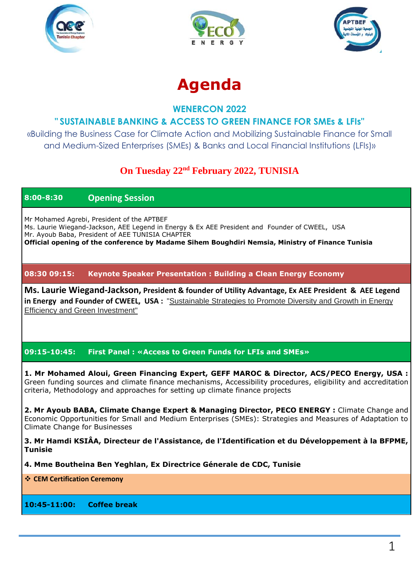





# **Agenda**

## **WENERCON 2022**

# **" SUSTAINABLE BANKING & ACCESS TO GREEN FINANCE FOR SMEs & LFIs"**

«Building the Business Case for Climate Action and Mobilizing Sustainable Finance for Small and Medium-Sized Enterprises (SMEs) & Banks and Local Financial Institutions (LFIs)»

# **On Tuesday 22nd February 2022, TUNISIA**

## **8:00-8:30 Opening Session**

Mr Mohamed Agrebi, President of the APTBEF Ms. Laurie Wiegand-Jackson, AEE Legend in Energy & Ex AEE President and Founder of CWEEL, USA Mr. Ayoub Baba, President of AEE TUNISIA CHAPTER **Official opening of the conference by Madame Sihem Boughdiri Nemsia, Ministry of Finance Tunisia**

#### **08:30 09:15: Keynote Speaker Presentation : Building a Clean Energy Economy**

**Ms. Laurie Wiegand-Jackson, President & founder of Utility Advantage, Ex AEE President & AEE Legend in Energy and Founder of CWEEL, USA :** "Sustainable Strategies to Promote Diversity and Growth in Energy Efficiency and Green Investment"

### **09:15-10:45: First Panel : «Access to Green Funds for LFIs and SMEs»**

**1. Mr Mohamed Aloui, Green Financing Expert, GEFF MAROC & Director, ACS/PECO Energy, USA :** Green funding sources and climate finance mechanisms, Accessibility procedures, eligibility and accreditation criteria, Methodology and approaches for setting up climate finance projects

**2. Mr Ayoub BABA, Climate Change Expert & Managing Director, PECO ENERGY :** Climate Change and Economic Opportunities for Small and Medium Enterprises (SMEs): Strategies and Measures of Adaptation to Climate Change for Businesses

**3. Mr Hamdi KSIÂA, Directeur de l'Assistance, de l'Identification et du Développement à la BFPME, Tunisie**

**4. Mme Boutheina Ben Yeghlan, Ex Directrice Génerale de CDC, Tunisie**

**CEM Certification Ceremony**

**10:45-11:00: Coffee break**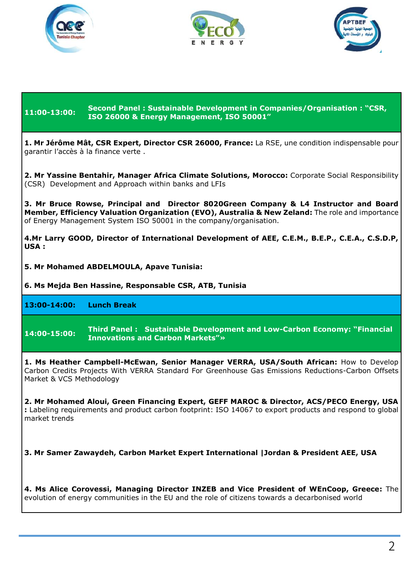





**11:00-13:00: Second Panel : Sustainable Development in Companies/Organisation : "CSR, ISO 26000 & Energy Management, ISO 50001" 1. Mr Jérôme Mât, CSR Expert, Director CSR 26000, France:** La RSE, une condition indispensable pour garantir l'accès à la finance verte . **2. Mr Yassine Bentahir, Manager Africa Climate Solutions, Morocco:** Corporate Social Responsibility (CSR) Development and Approach within banks and LFIs **3. Mr Bruce Rowse, Principal and Director 8020Green Company & L4 Instructor and Board Member, Efficiency Valuation Organization (EVO), Australia & New Zeland:** The role and importance of Energy Management System ISO 50001 in the company/organisation. **4.Mr Larry GOOD, Director of International Development of AEE, C.E.M., B.E.P., C.E.A., C.S.D.P, USA : 5. Mr Mohamed ABDELMOULA, Apave Tunisia: 6. Ms Mejda Ben Hassine, Responsable CSR, ATB, Tunisia 13:00-14:00: Lunch Break 14:00-15:00: Third Panel : Sustainable Development and Low-Carbon Economy: "Financial Innovations and Carbon Markets"» 1. Ms Heather Campbell-McEwan, Senior Manager VERRA, USA/South African:** How to Develop Carbon Credits Projects With VERRA Standard For Greenhouse Gas Emissions Reductions-Carbon Offsets Market & VCS Methodology **2. Mr Mohamed Aloui, Green Financing Expert, GEFF MAROC & Director, ACS/PECO Energy, USA :** Labeling requirements and product carbon footprint: ISO 14067 to export products and respond to global market trends **3. Mr Samer Zawaydeh, Carbon Market Expert International |Jordan & President AEE, USA 4. Ms Alice Corovessi, Managing Director INZEB and Vice President of WEnCoop, Greece:** The evolution of energy communities in the EU and the role of citizens towards a decarbonised world